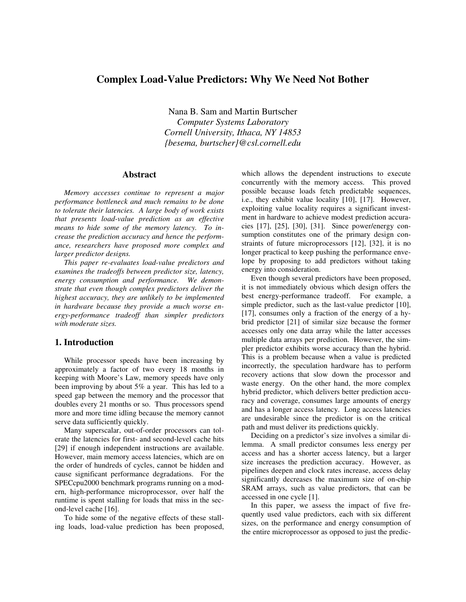# **Complex Load-Value Predictors: Why We Need Not Bother**

Nana B. Sam and Martin Burtscher *Computer Systems Laboratory Cornell University, Ithaca, NY 14853 {besema, burtscher}@csl.cornell.edu*

### **Abstract**

*Memory accesses continue to represent a major performance bottleneck and much remains to be done to tolerate their latencies. A large body of work exists that presents load-value prediction as an effective means to hide some of the memory latency. To increase the prediction accuracy and hence the performance, researchers have proposed more complex and larger predictor designs.* 

*This paper re-evaluates load-value predictors and examines the tradeoffs between predictor size, latency, energy consumption and performance. We demonstrate that even though complex predictors deliver the highest accuracy, they are unlikely to be implemented in hardware because they provide a much worse energy-performance tradeoff than simpler predictors with moderate sizes.* 

# **1. Introduction**

While processor speeds have been increasing by approximately a factor of two every 18 months in keeping with Moore's Law, memory speeds have only been improving by about 5% a year. This has led to a speed gap between the memory and the processor that doubles every 21 months or so. Thus processors spend more and more time idling because the memory cannot serve data sufficiently quickly.

Many superscalar, out-of-order processors can tolerate the latencies for first- and second-level cache hits [29] if enough independent instructions are available. However, main memory access latencies, which are on the order of hundreds of cycles, cannot be hidden and cause significant performance degradations. For the SPECcpu2000 benchmark programs running on a modern, high-performance microprocessor, over half the runtime is spent stalling for loads that miss in the second-level cache [16].

To hide some of the negative effects of these stalling loads, load-value prediction has been proposed,

which allows the dependent instructions to execute concurrently with the memory access. This proved possible because loads fetch predictable sequences, i.e., they exhibit value locality [10], [17]. However, exploiting value locality requires a significant investment in hardware to achieve modest prediction accuracies [17], [25], [30], [31]. Since power/energy consumption constitutes one of the primary design constraints of future microprocessors [12], [32], it is no longer practical to keep pushing the performance envelope by proposing to add predictors without taking energy into consideration.

Even though several predictors have been proposed, it is not immediately obvious which design offers the best energy-performance tradeoff. For example, a simple predictor, such as the last-value predictor [10], [17], consumes only a fraction of the energy of a hybrid predictor [21] of similar size because the former accesses only one data array while the latter accesses multiple data arrays per prediction. However, the simpler predictor exhibits worse accuracy than the hybrid. This is a problem because when a value is predicted incorrectly, the speculation hardware has to perform recovery actions that slow down the processor and waste energy. On the other hand, the more complex hybrid predictor, which delivers better prediction accuracy and coverage, consumes large amounts of energy and has a longer access latency. Long access latencies are undesirable since the predictor is on the critical path and must deliver its predictions quickly.

Deciding on a predictor's size involves a similar dilemma. A small predictor consumes less energy per access and has a shorter access latency, but a larger size increases the prediction accuracy. However, as pipelines deepen and clock rates increase, access delay significantly decreases the maximum size of on-chip SRAM arrays, such as value predictors, that can be accessed in one cycle [1].

In this paper, we assess the impact of five frequently used value predictors, each with six different sizes, on the performance and energy consumption of the entire microprocessor as opposed to just the predic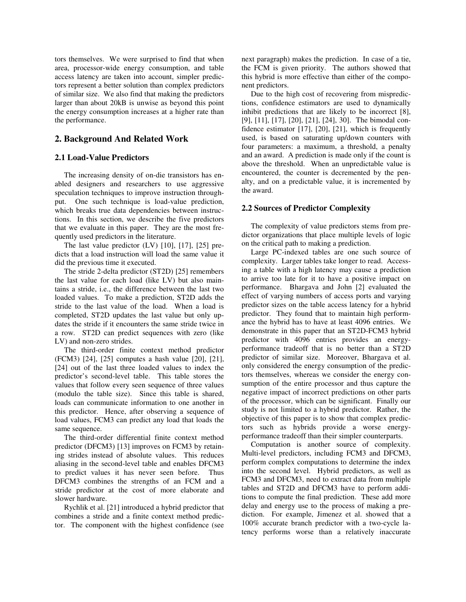tors themselves. We were surprised to find that when area, processor-wide energy consumption, and table access latency are taken into account, simpler predictors represent a better solution than complex predictors of similar size. We also find that making the predictors larger than about 20kB is unwise as beyond this point the energy consumption increases at a higher rate than the performance.

# **2. Background And Related Work**

#### **2.1 Load-Value Predictors**

The increasing density of on-die transistors has enabled designers and researchers to use aggressive speculation techniques to improve instruction throughput. One such technique is load-value prediction, which breaks true data dependencies between instructions. In this section, we describe the five predictors that we evaluate in this paper. They are the most frequently used predictors in the literature.

The last value predictor (LV) [10], [17], [25] predicts that a load instruction will load the same value it did the previous time it executed.

The stride 2-delta predictor (ST2D) [25] remembers the last value for each load (like LV) but also maintains a stride, i.e., the difference between the last two loaded values. To make a prediction, ST2D adds the stride to the last value of the load. When a load is completed, ST2D updates the last value but only updates the stride if it encounters the same stride twice in a row. ST2D can predict sequences with zero (like LV) and non-zero strides.

The third-order finite context method predictor (FCM3) [24], [25] computes a hash value [20], [21], [24] out of the last three loaded values to index the predictor's second-level table. This table stores the values that follow every seen sequence of three values (modulo the table size). Since this table is shared, loads can communicate information to one another in this predictor. Hence, after observing a sequence of load values, FCM3 can predict any load that loads the same sequence.

The third-order differential finite context method predictor (DFCM3) [13] improves on FCM3 by retaining strides instead of absolute values. This reduces aliasing in the second-level table and enables DFCM3 to predict values it has never seen before. Thus DFCM3 combines the strengths of an FCM and a stride predictor at the cost of more elaborate and slower hardware.

Rychlik et al. [21] introduced a hybrid predictor that combines a stride and a finite context method predictor. The component with the highest confidence (see next paragraph) makes the prediction. In case of a tie, the FCM is given priority. The authors showed that this hybrid is more effective than either of the component predictors.

Due to the high cost of recovering from mispredictions, confidence estimators are used to dynamically inhibit predictions that are likely to be incorrect [8], [9], [11], [17], [20], [21], [24], 30]. The bimodal confidence estimator [17], [20], [21], which is frequently used, is based on saturating up/down counters with four parameters: a maximum, a threshold, a penalty and an award. A prediction is made only if the count is above the threshold. When an unpredictable value is encountered, the counter is decremented by the penalty, and on a predictable value, it is incremented by the award.

#### **2.2 Sources of Predictor Complexity**

The complexity of value predictors stems from predictor organizations that place multiple levels of logic on the critical path to making a prediction.

Large PC-indexed tables are one such source of complexity. Larger tables take longer to read. Accessing a table with a high latency may cause a prediction to arrive too late for it to have a positive impact on performance. Bhargava and John [2] evaluated the effect of varying numbers of access ports and varying predictor sizes on the table access latency for a hybrid predictor. They found that to maintain high performance the hybrid has to have at least 4096 entries. We demonstrate in this paper that an ST2D-FCM3 hybrid predictor with 4096 entries provides an energyperformance tradeoff that is no better than a ST2D predictor of similar size. Moreover, Bhargava et al. only considered the energy consumption of the predictors themselves, whereas we consider the energy consumption of the entire processor and thus capture the negative impact of incorrect predictions on other parts of the processor, which can be significant. Finally our study is not limited to a hybrid predictor. Rather, the objective of this paper is to show that complex predictors such as hybrids provide a worse energyperformance tradeoff than their simpler counterparts.

Computation is another source of complexity. Multi-level predictors, including FCM3 and DFCM3, perform complex computations to determine the index into the second level. Hybrid predictors, as well as FCM3 and DFCM3, need to extract data from multiple tables and ST2D and DFCM3 have to perform additions to compute the final prediction. These add more delay and energy use to the process of making a prediction. For example, Jimenez et al. showed that a 100% accurate branch predictor with a two-cycle latency performs worse than a relatively inaccurate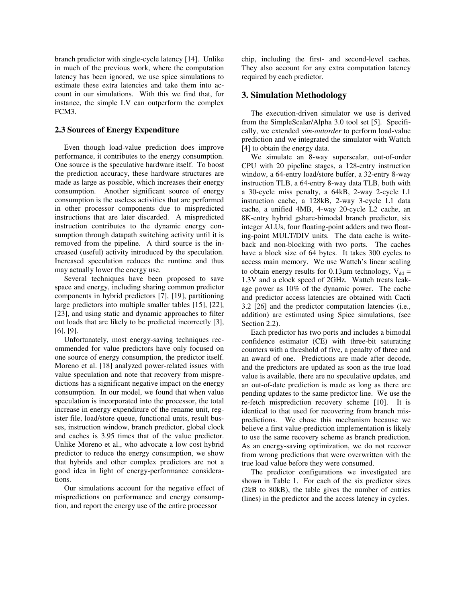branch predictor with single-cycle latency [14]. Unlike in much of the previous work, where the computation latency has been ignored, we use spice simulations to estimate these extra latencies and take them into account in our simulations. With this we find that, for instance, the simple LV can outperform the complex FCM3.

# **2.3 Sources of Energy Expenditure**

Even though load-value prediction does improve performance, it contributes to the energy consumption. One source is the speculative hardware itself. To boost the prediction accuracy, these hardware structures are made as large as possible, which increases their energy consumption. Another significant source of energy consumption is the useless activities that are performed in other processor components due to mispredicted instructions that are later discarded. A mispredicted instruction contributes to the dynamic energy consumption through datapath switching activity until it is removed from the pipeline. A third source is the increased (useful) activity introduced by the speculation. Increased speculation reduces the runtime and thus may actually lower the energy use.

Several techniques have been proposed to save space and energy, including sharing common predictor components in hybrid predictors [7], [19], partitioning large predictors into multiple smaller tables [15], [22], [23], and using static and dynamic approaches to filter out loads that are likely to be predicted incorrectly [3], [6], [9].

Unfortunately, most energy-saving techniques recommended for value predictors have only focused on one source of energy consumption, the predictor itself. Moreno et al. [18] analyzed power-related issues with value speculation and note that recovery from mispredictions has a significant negative impact on the energy consumption. In our model, we found that when value speculation is incorporated into the processor, the total increase in energy expenditure of the rename unit, register file, load/store queue, functional units, result busses, instruction window, branch predictor, global clock and caches is 3.95 times that of the value predictor. Unlike Moreno et al., who advocate a low cost hybrid predictor to reduce the energy consumption, we show that hybrids and other complex predictors are not a good idea in light of energy-performance considerations.

Our simulations account for the negative effect of mispredictions on performance and energy consumption, and report the energy use of the entire processor

chip, including the first- and second-level caches. They also account for any extra computation latency required by each predictor.

### **3. Simulation Methodology**

The execution-driven simulator we use is derived from the SimpleScalar/Alpha 3.0 tool set [5]. Specifically, we extended *sim-outorder* to perform load-value prediction and we integrated the simulator with Wattch [4] to obtain the energy data.

We simulate an 8-way superscalar, out-of-order CPU with 20 pipeline stages, a 128-entry instruction window, a 64-entry load/store buffer, a 32-entry 8-way instruction TLB, a 64-entry 8-way data TLB, both with a 30-cycle miss penalty, a 64kB, 2-way 2-cycle L1 instruction cache, a 128kB, 2-way 3-cycle L1 data cache, a unified 4MB, 4-way 20-cycle L2 cache, an 8K-entry hybrid gshare-bimodal branch predictor, six integer ALUs, four floating-point adders and two floating-point MULT/DIV units. The data cache is writeback and non-blocking with two ports. The caches have a block size of 64 bytes. It takes 300 cycles to access main memory. We use Wattch's linear scaling to obtain energy results for 0.13 $\mu$ m technology, V<sub>dd</sub> = 1.3V and a clock speed of 2GHz. Wattch treats leakage power as 10% of the dynamic power. The cache and predictor access latencies are obtained with Cacti 3.2 [26] and the predictor computation latencies (i.e., addition) are estimated using Spice simulations, (see Section 2.2).

Each predictor has two ports and includes a bimodal confidence estimator (CE) with three-bit saturating counters with a threshold of five, a penalty of three and an award of one. Predictions are made after decode, and the predictors are updated as soon as the true load value is available, there are no speculative updates, and an out-of-date prediction is made as long as there are pending updates to the same predictor line. We use the re-fetch misprediction recovery scheme [10]. It is identical to that used for recovering from branch mispredictions. We chose this mechanism because we believe a first value-prediction implementation is likely to use the same recovery scheme as branch prediction. As an energy-saving optimization, we do not recover from wrong predictions that were overwritten with the true load value before they were consumed.

The predictor configurations we investigated are shown in Table 1. For each of the six predictor sizes (2kB to 80kB), the table gives the number of entries (lines) in the predictor and the access latency in cycles.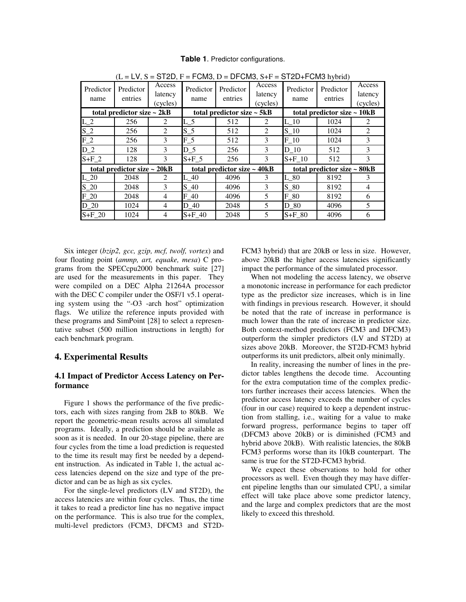| $E = EY, D = G/ED, I = I$ Only, $D = D1$ Only, $DTT = G/EDTT$ Only the theory |                      |                               |                                  |                      |                               |                                  |                      |                               |
|-------------------------------------------------------------------------------|----------------------|-------------------------------|----------------------------------|----------------------|-------------------------------|----------------------------------|----------------------|-------------------------------|
| Predictor<br>name                                                             | Predictor<br>entries | Access<br>latency<br>(cycles) | Predictor<br>name                | Predictor<br>entries | Access<br>latency<br>(cycles) | Predictor<br>name                | Predictor<br>entries | Access<br>latency<br>(cycles) |
| total predictor size $\sim$ 2kB                                               |                      |                               | total predictor size $\sim$ 5kB  |                      |                               | total predictor size $\sim$ 10kB |                      |                               |
| $L_2$                                                                         | 256                  | $\mathfrak{D}$                | L 5                              | 512                  | 2                             | $L_{10}$                         | 1024                 | $\mathfrak{D}$                |
| $S_2$                                                                         | 256                  | 2                             | S <sub>5</sub>                   | 512                  | 2                             | $S_1$ 10                         | 1024                 | 2                             |
| $F_2$                                                                         | 256                  | $\mathcal{F}$                 | F <sub>5</sub>                   | 512                  | 3                             | $F_10$                           | 1024                 | 3                             |
| $D_2$                                                                         | 128                  | 3                             | D <sub>5</sub>                   | 256                  | 3                             | $D_10$                           | 512                  | 3                             |
| $S+F_2$                                                                       | 128                  | 3                             | $S+F_5$                          | 256                  | 3                             | $S+F_10$                         | 512                  | 3                             |
| total predictor size $\sim$ 20kB                                              |                      |                               | total predictor size $\sim$ 40kB |                      |                               | total predictor size $\sim$ 80kB |                      |                               |
| $L$ 20                                                                        | 2048                 | 2                             | $L_40$                           | 4096                 | 3                             | $L_80$                           | 8192                 | 3                             |
| $\sqrt{S}$ 20                                                                 | 2048                 | 3                             | $S_{.}40$                        | 4096                 | 3                             | S 80                             | 8192                 | 4                             |
| $F_2$                                                                         | 2048                 | 4                             | $F_{\perp}40$                    | 4096                 | 5                             | F 80                             | 8192                 | 6                             |
| $D_2$ 20                                                                      | 1024                 | $\overline{4}$                | D 40                             | 2048                 | 5.                            | D 80                             | 4096                 | 5.                            |
| $S+F_20$                                                                      | 1024                 | 4                             | $S+F_40$                         | 2048                 | 5                             | $S+F_80$                         | 4096                 | 6                             |

**Table 1**. Predictor configurations.

 $(L = 1 \text{ V}, S = ST2D, F = FCM3, D = DFCM3, S+F = ST2D + FCM3$  hybrid)

Six integer (*bzip2, gcc, gzip, mcf, twolf, vortex*) and four floating point (*ammp, art, equake, mesa*) C programs from the SPECcpu2000 benchmark suite [27] are used for the measurements in this paper. They were compiled on a DEC Alpha 21264A processor with the DEC C compiler under the OSF/1 v5.1 operating system using the "-O3 -arch host" optimization flags. We utilize the reference inputs provided with these programs and SimPoint [28] to select a representative subset (500 million instructions in length) for each benchmark program.

# **4. Experimental Results**

# **4.1 Impact of Predictor Access Latency on Performance**

Figure 1 shows the performance of the five predictors, each with sizes ranging from 2kB to 80kB. We report the geometric-mean results across all simulated programs. Ideally, a prediction should be available as soon as it is needed. In our 20-stage pipeline, there are four cycles from the time a load prediction is requested to the time its result may first be needed by a dependent instruction. As indicated in Table 1, the actual access latencies depend on the size and type of the predictor and can be as high as six cycles.

For the single-level predictors (LV and ST2D), the access latencies are within four cycles. Thus, the time it takes to read a predictor line has no negative impact on the performance. This is also true for the complex, multi-level predictors (FCM3, DFCM3 and ST2D-

FCM3 hybrid) that are 20kB or less in size. However, above 20kB the higher access latencies significantly impact the performance of the simulated processor.

When not modeling the access latency, we observe a monotonic increase in performance for each predictor type as the predictor size increases, which is in line with findings in previous research. However, it should be noted that the rate of increase in performance is much lower than the rate of increase in predictor size. Both context-method predictors (FCM3 and DFCM3) outperform the simpler predictors (LV and ST2D) at sizes above 20kB. Moreover, the ST2D-FCM3 hybrid outperforms its unit predictors, albeit only minimally.

In reality, increasing the number of lines in the predictor tables lengthens the decode time. Accounting for the extra computation time of the complex predictors further increases their access latencies. When the predictor access latency exceeds the number of cycles (four in our case) required to keep a dependent instruction from stalling, i.e., waiting for a value to make forward progress, performance begins to taper off (DFCM3 above 20kB) or is diminished (FCM3 and hybrid above 20kB). With realistic latencies, the 80kB FCM3 performs worse than its 10kB counterpart. The same is true for the ST2D-FCM3 hybrid.

We expect these observations to hold for other processors as well. Even though they may have different pipeline lengths than our simulated CPU, a similar effect will take place above some predictor latency, and the large and complex predictors that are the most likely to exceed this threshold.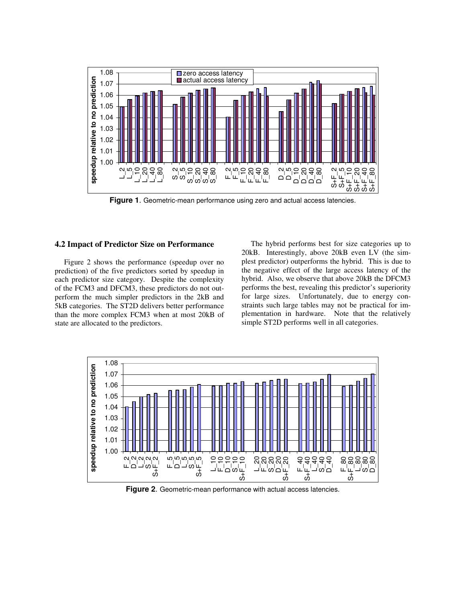

**Figure 1**. Geometric-mean performance using zero and actual access latencies.

#### **4.2 Impact of Predictor Size on Performance**

Figure 2 shows the performance (speedup over no prediction) of the five predictors sorted by speedup in each predictor size category. Despite the complexity of the FCM3 and DFCM3, these predictors do not outperform the much simpler predictors in the 2kB and 5kB categories. The ST2D delivers better performance than the more complex FCM3 when at most 20kB of state are allocated to the predictors.

The hybrid performs best for size categories up to 20kB. Interestingly, above 20kB even LV (the simplest predictor) outperforms the hybrid. This is due to the negative effect of the large access latency of the hybrid. Also, we observe that above 20kB the DFCM3 performs the best, revealing this predictor's superiority for large sizes. Unfortunately, due to energy constraints such large tables may not be practical for implementation in hardware. Note that the relatively simple ST2D performs well in all categories.



**Figure 2**. Geometric-mean performance with actual access latencies.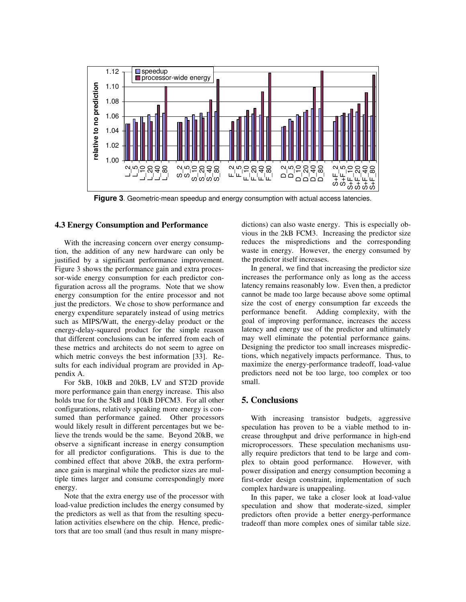

**Figure 3**. Geometric-mean speedup and energy consumption with actual access latencies.

### **4.3 Energy Consumption and Performance**

With the increasing concern over energy consumption, the addition of any new hardware can only be justified by a significant performance improvement. Figure 3 shows the performance gain and extra processor-wide energy consumption for each predictor configuration across all the programs. Note that we show energy consumption for the entire processor and not just the predictors. We chose to show performance and energy expenditure separately instead of using metrics such as MIPS/Watt, the energy-delay product or the energy-delay-squared product for the simple reason that different conclusions can be inferred from each of these metrics and architects do not seem to agree on which metric conveys the best information [33]. Results for each individual program are provided in Appendix A.

For 5kB, 10kB and 20kB, LV and ST2D provide more performance gain than energy increase. This also holds true for the 5kB and 10kB DFCM3. For all other configurations, relatively speaking more energy is consumed than performance gained. Other processors would likely result in different percentages but we believe the trends would be the same. Beyond 20kB, we observe a significant increase in energy consumption for all predictor configurations. This is due to the combined effect that above 20kB, the extra performance gain is marginal while the predictor sizes are multiple times larger and consume correspondingly more energy.

Note that the extra energy use of the processor with load-value prediction includes the energy consumed by the predictors as well as that from the resulting speculation activities elsewhere on the chip. Hence, predictors that are too small (and thus result in many mispre-

dictions) can also waste energy. This is especially obvious in the 2kB FCM3. Increasing the predictor size reduces the mispredictions and the corresponding waste in energy. However, the energy consumed by the predictor itself increases.

In general, we find that increasing the predictor size increases the performance only as long as the access latency remains reasonably low. Even then, a predictor cannot be made too large because above some optimal size the cost of energy consumption far exceeds the performance benefit. Adding complexity, with the goal of improving performance, increases the access latency and energy use of the predictor and ultimately may well eliminate the potential performance gains. Designing the predictor too small increases mispredictions, which negatively impacts performance. Thus, to maximize the energy-performance tradeoff, load-value predictors need not be too large, too complex or too small.

# **5. Conclusions**

With increasing transistor budgets, aggressive speculation has proven to be a viable method to increase throughput and drive performance in high-end microprocessors. These speculation mechanisms usually require predictors that tend to be large and complex to obtain good performance. However, with power dissipation and energy consumption becoming a first-order design constraint, implementation of such complex hardware is unappealing.

In this paper, we take a closer look at load-value speculation and show that moderate-sized, simpler predictors often provide a better energy-performance tradeoff than more complex ones of similar table size.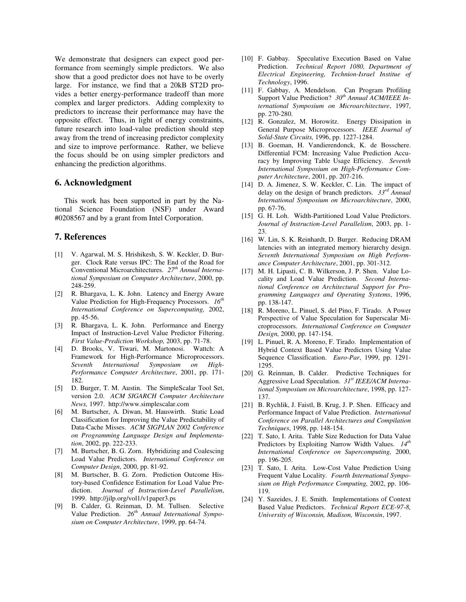We demonstrate that designers can expect good performance from seemingly simple predictors. We also show that a good predictor does not have to be overly large. For instance, we find that a 20kB ST2D provides a better energy-performance tradeoff than more complex and larger predictors. Adding complexity to predictors to increase their performance may have the opposite effect. Thus, in light of energy constraints, future research into load-value prediction should step away from the trend of increasing predictor complexity and size to improve performance. Rather, we believe the focus should be on using simpler predictors and enhancing the prediction algorithms.

#### **6. Acknowledgment**

This work has been supported in part by the National Science Foundation (NSF) under Award #0208567 and by a grant from Intel Corporation.

#### **7. References**

- [1] V. Agarwal, M. S. Hrishikesh, S. W. Keckler, D. Burger. Clock Rate versus IPC: The End of the Road for Conventional Microarchitectures. *27th Annual International Symposium on Computer Architecture*, 2000, pp. 248-259.
- [2] R. Bhargava, L. K. John. Latency and Energy Aware Value Prediction for High-Frequency Processors. *16th International Conference on Supercomputing,* 2002, pp. 45-56.
- [3] R. Bhargava, L. K. John. Performance and Energy Impact of Instruction-Level Value Predictor Filtering. *First Value-Prediction Workshop,* 2003, pp. 71-78.
- [4] D. Brooks, V. Tiwari, M. Martonosi. Wattch: A Framework for High-Performance Microprocessors. *Seventh International Symposium on High-Performance Computer Architecture*, 2001, pp. 171- 182.
- [5] D. Burger, T. M. Austin. The SimpleScalar Tool Set, version 2.0. *ACM SIGARCH Computer Architecture News,* 1997. http://www.simplescalar.com
- [6] M. Burtscher, A. Diwan, M. Hauswirth. Static Load Classification for Improving the Value Predictability of Data-Cache Misses. *ACM SIGPLAN 2002 Conference on Programming Language Design and Implementation*, 2002, pp. 222-233.
- [7] M. Burtscher, B. G. Zorn. Hybridizing and Coalescing Load Value Predictors. *International Conference on Computer Design*, 2000, pp. 81-92.
- [8] M. Burtscher, B. G. Zorn. Prediction Outcome History-based Confidence Estimation for Load Value Prediction. *Journal of Instruction-Level Parallelism*, 1999. http://jilp.org/vol1/v1paper3.ps
- [9] B. Calder, G. Reinman, D. M. Tullsen. Selective Value Prediction. *26th Annual International Symposium on Computer Architecture*, 1999, pp. 64-74.
- [10] F. Gabbay. Speculative Execution Based on Value Prediction. *Technical Report 1080, Department of Electrical Engineering, Technion-Israel Institue of Technology*, 1996.
- [11] F. Gabbay, A. Mendelson. Can Program Profiling Support Value Prediction? *30th Annual ACM/IEEE International Symposium on Microarchitecture*, 1997, pp. 270-280.
- [12] R. Gonzalez, M. Horowitz. Energy Dissipation in General Purpose Microprocessors. *IEEE Journal of Solid-State Circuits,* 1996, pp. 1227-1284.
- [13] B. Goeman, H. Vandierendonck, K. de Bosschere. Differential FCM: Increasing Value Prediction Accuracy by Improving Table Usage Efficiency. *Seventh International Symposium on High-Performance Computer Architecture*, 2001, pp. 207-216.
- [14] D. A. Jimenez, S. W. Keckler, C. Lin. The impact of delay on the design of branch predictors. *33rd Annual International Symposium on Microarchitecture*, 2000, pp. 67-76.
- [15] G. H. Loh. Width-Partitioned Load Value Predictors. *Journal of Instruction-Level Parallelism*, 2003, pp. 1- 23.
- [16] W. Lin, S. K. Reinhardt, D. Burger. Reducing DRAM latencies with an integrated memory hierarchy design. *Seventh International Symposium on High Performance Computer Architecture*, 2001, pp. 301-312.
- [17] M. H. Lipasti, C. B. Wilkerson, J. P. Shen. Value Locality and Load Value Prediction. *Second International Conference on Architectural Support for Programming Languages and Operating Systems*, 1996, pp. 138-147.
- [18] R. Moreno, L. Pinuel, S. del Pino, F. Tirado. A Power Perspective of Value Speculation for Superscalar Microprocessors. *International Conference on Computer Design,* 2000, pp. 147-154.
- [19] L. Pinuel, R. A. Moreno, F. Tirado. Implementation of Hybrid Context Based Value Predictors Using Value Sequence Classification. *Euro-Par*, 1999, pp. 1291- 1295.
- [20] G. Reinman, B. Calder. Predictive Techniques for Aggressive Load Speculation. *31st IEEE/ACM International Symposium on Microarchitecture*, 1998, pp. 127- 137.
- [21] B. Rychlik, J. Faistl, B. Krug, J. P. Shen. Efficacy and Performance Impact of Value Prediction. *International Conference on Parallel Architectures and Compilation Techniques*, 1998, pp. 148-154.
- [22] T. Sato, I. Arita. Table Size Reduction for Data Value Predictors by Exploiting Narrow Width Values. *14th International Conference on Supercomputing,* 2000, pp. 196-205.
- [23] T. Sato, I. Arita. Low-Cost Value Prediction Using Frequent Value Locality. *Fourth International Symposium on High Performance Computing,* 2002, pp. 106- 119.
- [24] Y. Sazeides, J. E. Smith. Implementations of Context Based Value Predictors. *Technical Report ECE-97-8, University of Wisconsin, Madison, Wisconsin*, 1997.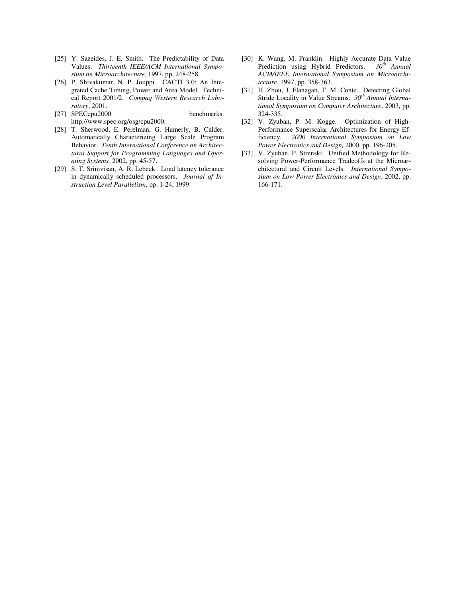- [25] Y. Sazeides, J. E. Smith. The Predictability of Data Values. *Thirteenth IEEE/ACM International Symposium on Microarchitecture,* 1997, pp. 248-258.
- [26] P. Shivakumar, N. P. Jouppi. CACTI 3.0: An Integrated Cache Timing, Power and Area Model. Technical Report 2001/2. *Compaq Western Research Laboratory*, 2001.
- [27] SPECcpu2000 benchmarks. http://www.spec.org/osg/cpu2000.
- [28] T. Sherwood, E. Perelman, G. Hamerly, B. Calder. Automatically Characterizing Large Scale Program Behavior. *Tenth International Conference on Architectural Support for Programming Languages and Operating Systems,* 2002, pp. 45-57.
- [29] S. T. Srinivisan, A. R. Lebeck. Load latency tolerance in dynamically scheduled processors. *Journal of Instruction Level Parallelism*, pp. 1-24, 1999.
- [30] K. Wang, M. Franklin. Highly Accurate Data Value Prediction using Hybrid Predictors. *30th Annual ACM/IEEE International Symposium on Microarchitecture*, 1997, pp. 358-363.
- [31] H. Zhou, J. Flanagan, T. M. Conte. Detecting Global Stride Locality in Value Streams. *30th Annual International Symposium on Computer Architecture*, 2003, pp. 324-335.
- [32] V. Zyuban, P. M. Kogge. Optimization of High-Performance Superscalar Architectures for Energy Efficiency. *2000 International Symposium on Low Power Electronics and Design,* 2000, pp. 196-205.
- [33] V. Zyuban, P. Strenski. Unified Methodology for Resolving Power-Performance Tradeoffs at the Microarchitectural and Circuit Levels. *International Symposium on Low Power Electronics and Design*, 2002, pp. 166-171.